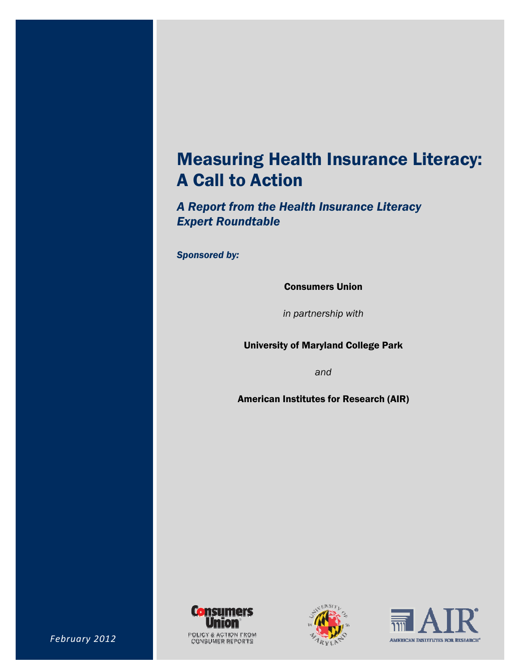## Measuring Health Insurance Literacy: A Call to Action

*A Report from the Health Insurance Literacy Expert Roundtable* 

*Sponsored by:* 

Consumers Union

*in partnership with* 

University of Maryland College Park

*and* 

American Institutes for Research (AIR)





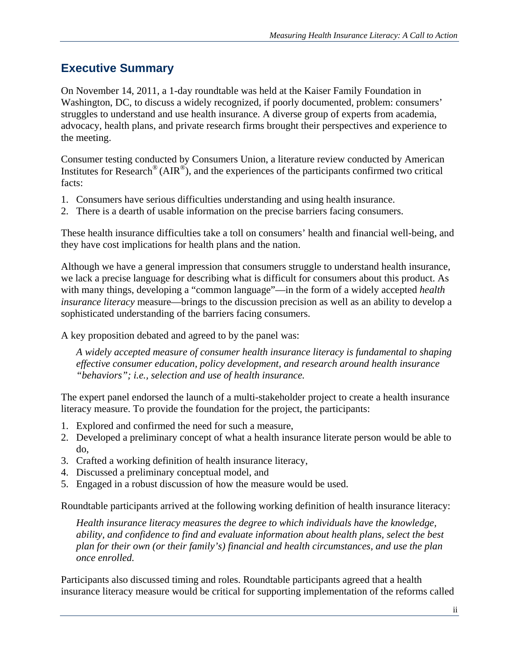### **Executive Summary**

On November 14, 2011, a 1-day roundtable was held at the Kaiser Family Foundation in Washington, DC, to discuss a widely recognized, if poorly documented, problem: consumers' struggles to understand and use health insurance. A diverse group of experts from academia, advocacy, health plans, and private research firms brought their perspectives and experience to the meeting.

Consumer testing conducted by Consumers Union, a literature review conducted by American Institutes for Research<sup>®</sup> ( $\overrightarrow{AIR}^{\circledcirc}$ ), and the experiences of the participants confirmed two critical facts:

- 1. Consumers have serious difficulties understanding and using health insurance.
- 2. There is a dearth of usable information on the precise barriers facing consumers.

These health insurance difficulties take a toll on consumers' health and financial well-being, and they have cost implications for health plans and the nation.

Although we have a general impression that consumers struggle to understand health insurance, we lack a precise language for describing what is difficult for consumers about this product. As with many things, developing a "common language"—in the form of a widely accepted *health insurance literacy* measure—brings to the discussion precision as well as an ability to develop a sophisticated understanding of the barriers facing consumers.

A key proposition debated and agreed to by the panel was:

*A widely accepted measure of consumer health insurance literacy is fundamental to shaping effective consumer education, policy development, and research around health insurance "behaviors"; i.e., selection and use of health insurance.* 

The expert panel endorsed the launch of a multi-stakeholder project to create a health insurance literacy measure. To provide the foundation for the project, the participants:

- 1. Explored and confirmed the need for such a measure,
- 2. Developed a preliminary concept of what a health insurance literate person would be able to do,
- 3. Crafted a working definition of health insurance literacy,
- 4. Discussed a preliminary conceptual model, and
- 5. Engaged in a robust discussion of how the measure would be used.

Roundtable participants arrived at the following working definition of health insurance literacy:

*Health insurance literacy measures the degree to which individuals have the knowledge, ability, and confidence to find and evaluate information about health plans, select the best plan for their own (or their family's) financial and health circumstances, and use the plan once enrolled.* 

Participants also discussed timing and roles. Roundtable participants agreed that a health insurance literacy measure would be critical for supporting implementation of the reforms called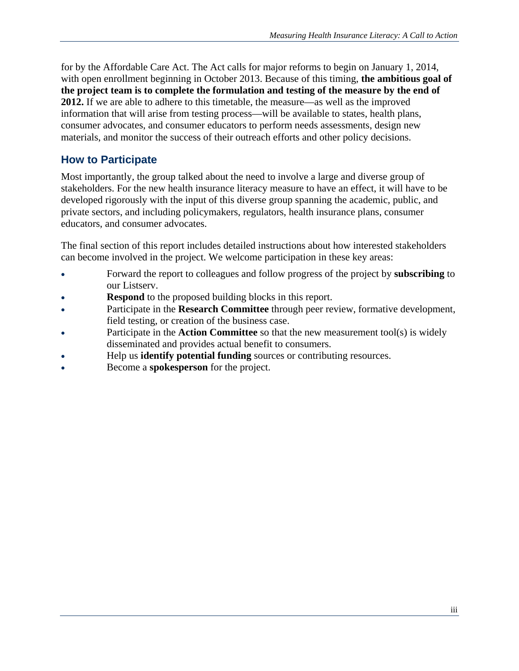for by the Affordable Care Act. The Act calls for major reforms to begin on January 1, 2014, with open enrollment beginning in October 2013. Because of this timing, **the ambitious goal of the project team is to complete the formulation and testing of the measure by the end of 2012.** If we are able to adhere to this timetable, the measure—as well as the improved information that will arise from testing process—will be available to states, health plans, consumer advocates, and consumer educators to perform needs assessments, design new materials, and monitor the success of their outreach efforts and other policy decisions.

### **How to Participate**

Most importantly, the group talked about the need to involve a large and diverse group of stakeholders. For the new health insurance literacy measure to have an effect, it will have to be developed rigorously with the input of this diverse group spanning the academic, public, and private sectors, and including policymakers, regulators, health insurance plans, consumer educators, and consumer advocates.

The final section of this report includes detailed instructions about how interested stakeholders can become involved in the project. We welcome participation in these key areas:

- Forward the report to colleagues and follow progress of the project by **subscribing** to our Listserv.
- **Respond** to the proposed building blocks in this report.
- Participate in the **Research Committee** through peer review, formative development, field testing, or creation of the business case.
- Participate in the **Action Committee** so that the new measurement tool(s) is widely disseminated and provides actual benefit to consumers.
- Help us **identify potential funding** sources or contributing resources.
- Become a **spokesperson** for the project.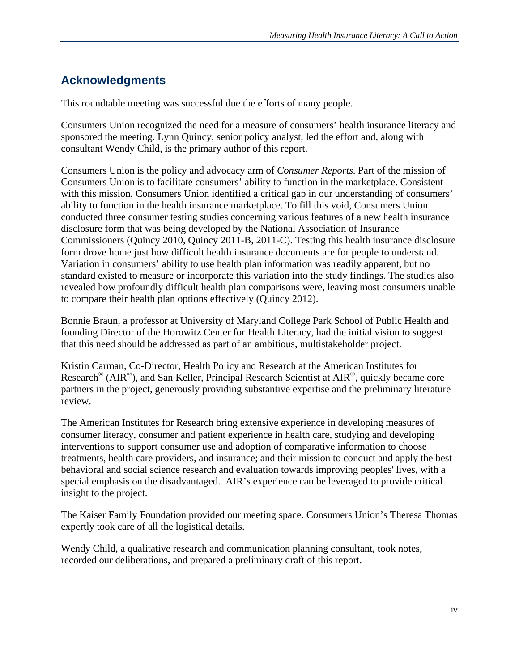### **Acknowledgments**

This roundtable meeting was successful due the efforts of many people.

Consumers Union recognized the need for a measure of consumers' health insurance literacy and sponsored the meeting. Lynn Quincy, senior policy analyst, led the effort and, along with consultant Wendy Child, is the primary author of this report.

Consumers Union is the policy and advocacy arm of *Consumer Reports*. Part of the mission of Consumers Union is to facilitate consumers' ability to function in the marketplace. Consistent with this mission, Consumers Union identified a critical gap in our understanding of consumers' ability to function in the health insurance marketplace. To fill this void, Consumers Union conducted three consumer testing studies concerning various features of a new health insurance disclosure form that was being developed by the National Association of Insurance Commissioners (Quincy 2010, Quincy 2011-B, 2011-C). Testing this health insurance disclosure form drove home just how difficult health insurance documents are for people to understand. Variation in consumers' ability to use health plan information was readily apparent, but no standard existed to measure or incorporate this variation into the study findings. The studies also revealed how profoundly difficult health plan comparisons were, leaving most consumers unable to compare their health plan options effectively (Quincy 2012).

Bonnie Braun, a professor at University of Maryland College Park School of Public Health and founding Director of the Horowitz Center for Health Literacy, had the initial vision to suggest that this need should be addressed as part of an ambitious, multistakeholder project.

Kristin Carman, Co-Director, Health Policy and Research at the American Institutes for Research® (AIR®), and San Keller, Principal Research Scientist at AIR®, quickly became core partners in the project, generously providing substantive expertise and the preliminary literature review.

The American Institutes for Research bring extensive experience in developing measures of consumer literacy, consumer and patient experience in health care, studying and developing interventions to support consumer use and adoption of comparative information to choose treatments, health care providers, and insurance; and their mission to conduct and apply the best behavioral and social science research and evaluation towards improving peoples' lives, with a special emphasis on the disadvantaged. AIR's experience can be leveraged to provide critical insight to the project.

The Kaiser Family Foundation provided our meeting space. Consumers Union's Theresa Thomas expertly took care of all the logistical details.

Wendy Child, a qualitative research and communication planning consultant, took notes, recorded our deliberations, and prepared a preliminary draft of this report.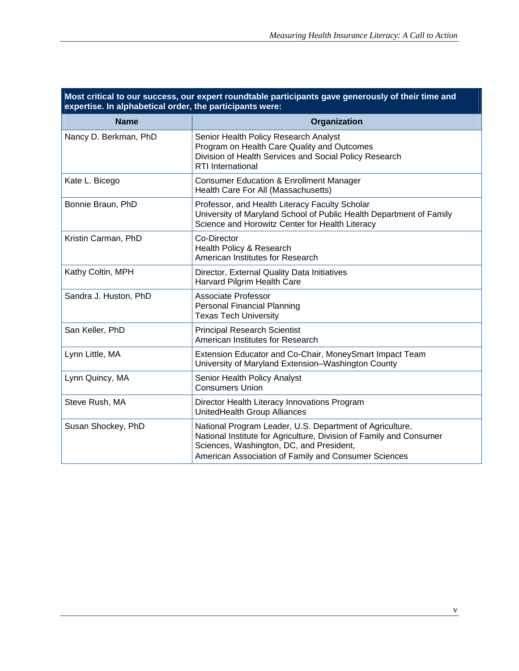| expert reditations participants gave gonerously<br>$\mathbf{v}$ , and and<br>expertise. In alphabetical order, the participants were: |                                                                                                                                                                                                                                     |  |  |  |
|---------------------------------------------------------------------------------------------------------------------------------------|-------------------------------------------------------------------------------------------------------------------------------------------------------------------------------------------------------------------------------------|--|--|--|
| <b>Name</b>                                                                                                                           | Organization                                                                                                                                                                                                                        |  |  |  |
| Nancy D. Berkman, PhD                                                                                                                 | Senior Health Policy Research Analyst<br>Program on Health Care Quality and Outcomes<br>Division of Health Services and Social Policy Research<br><b>RTI</b> International                                                          |  |  |  |
| Kate L. Bicego                                                                                                                        | <b>Consumer Education &amp; Enrollment Manager</b><br>Health Care For All (Massachusetts)                                                                                                                                           |  |  |  |
| Bonnie Braun, PhD                                                                                                                     | Professor, and Health Literacy Faculty Scholar<br>University of Maryland School of Public Health Department of Family<br>Science and Horowitz Center for Health Literacy                                                            |  |  |  |
| Kristin Carman, PhD                                                                                                                   | Co-Director<br>Health Policy & Research<br>American Institutes for Research                                                                                                                                                         |  |  |  |
| Kathy Coltin, MPH                                                                                                                     | Director, External Quality Data Initiatives<br>Harvard Pilgrim Health Care                                                                                                                                                          |  |  |  |
| Sandra J. Huston, PhD                                                                                                                 | <b>Associate Professor</b><br><b>Personal Financial Planning</b><br><b>Texas Tech University</b>                                                                                                                                    |  |  |  |
| San Keller, PhD                                                                                                                       | <b>Principal Research Scientist</b><br>American Institutes for Research                                                                                                                                                             |  |  |  |
| Lynn Little, MA                                                                                                                       | Extension Educator and Co-Chair, MoneySmart Impact Team<br>University of Maryland Extension-Washington County                                                                                                                       |  |  |  |
| Lynn Quincy, MA                                                                                                                       | Senior Health Policy Analyst<br><b>Consumers Union</b>                                                                                                                                                                              |  |  |  |
| Steve Rush, MA                                                                                                                        | Director Health Literacy Innovations Program<br>UnitedHealth Group Alliances                                                                                                                                                        |  |  |  |
| Susan Shockey, PhD                                                                                                                    | National Program Leader, U.S. Department of Agriculture,<br>National Institute for Agriculture, Division of Family and Consumer<br>Sciences, Washington, DC, and President,<br>American Association of Family and Consumer Sciences |  |  |  |

# **Most critical to our success, our expert roundtable participants gave generously of their time and**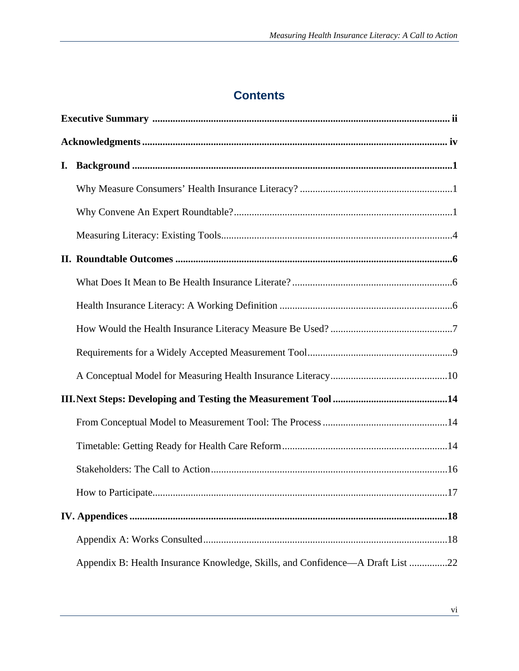### **Contents**

| I. |                                                                                |  |  |
|----|--------------------------------------------------------------------------------|--|--|
|    |                                                                                |  |  |
|    |                                                                                |  |  |
|    |                                                                                |  |  |
|    |                                                                                |  |  |
|    |                                                                                |  |  |
|    |                                                                                |  |  |
|    |                                                                                |  |  |
|    |                                                                                |  |  |
|    |                                                                                |  |  |
|    |                                                                                |  |  |
|    |                                                                                |  |  |
|    |                                                                                |  |  |
|    |                                                                                |  |  |
|    |                                                                                |  |  |
|    |                                                                                |  |  |
|    |                                                                                |  |  |
|    | Appendix B: Health Insurance Knowledge, Skills, and Confidence—A Draft List 22 |  |  |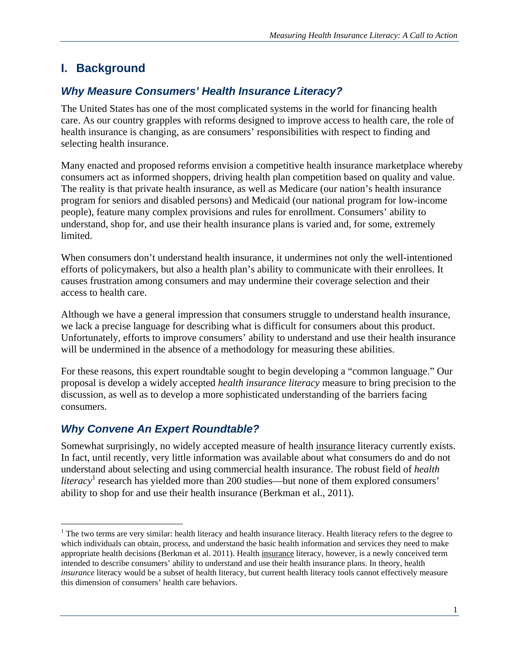### **I. Background**

### *Why Measure Consumers' Health Insurance Literacy?*

The United States has one of the most complicated systems in the world for financing health care. As our country grapples with reforms designed to improve access to health care, the role of health insurance is changing, as are consumers' responsibilities with respect to finding and selecting health insurance.

Many enacted and proposed reforms envision a competitive health insurance marketplace whereby consumers act as informed shoppers, driving health plan competition based on quality and value. The reality is that private health insurance, as well as Medicare (our nation's health insurance program for seniors and disabled persons) and Medicaid (our national program for low-income people), feature many complex provisions and rules for enrollment. Consumers' ability to understand, shop for, and use their health insurance plans is varied and, for some, extremely limited.

When consumers don't understand health insurance, it undermines not only the well-intentioned efforts of policymakers, but also a health plan's ability to communicate with their enrollees. It causes frustration among consumers and may undermine their coverage selection and their access to health care.

Although we have a general impression that consumers struggle to understand health insurance, we lack a precise language for describing what is difficult for consumers about this product. Unfortunately, efforts to improve consumers' ability to understand and use their health insurance will be undermined in the absence of a methodology for measuring these abilities.

For these reasons, this expert roundtable sought to begin developing a "common language." Our proposal is develop a widely accepted *health insurance literacy* measure to bring precision to the discussion, as well as to develop a more sophisticated understanding of the barriers facing consumers.

### *Why Convene An Expert Roundtable?*

 $\overline{a}$ 

Somewhat surprisingly, no widely accepted measure of health insurance literacy currently exists. In fact, until recently, very little information was available about what consumers do and do not understand about selecting and using commercial health insurance. The robust field of *health*  literacy<sup>1</sup> research has yielded more than 200 studies—but none of them explored consumers' ability to shop for and use their health insurance (Berkman et al., 2011).

<sup>&</sup>lt;sup>1</sup> The two terms are very similar: health literacy and health insurance literacy. Health literacy refers to the degree to which individuals can obtain, process, and understand the basic health information and services they need to make appropriate health decisions (Berkman et al. 2011). Health insurance literacy, however, is a newly conceived term intended to describe consumers' ability to understand and use their health insurance plans. In theory, health *insurance* literacy would be a subset of health literacy, but current health literacy tools cannot effectively measure this dimension of consumers' health care behaviors.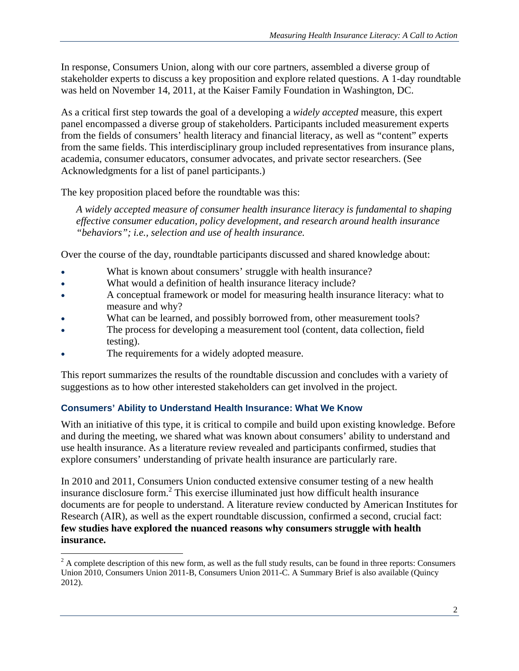In response, Consumers Union, along with our core partners, assembled a diverse group of stakeholder experts to discuss a key proposition and explore related questions. A 1-day roundtable was held on November 14, 2011, at the Kaiser Family Foundation in Washington, DC.

As a critical first step towards the goal of a developing a *widely accepted* measure, this expert panel encompassed a diverse group of stakeholders. Participants included measurement experts from the fields of consumers' health literacy and financial literacy, as well as "content" experts from the same fields. This interdisciplinary group included representatives from insurance plans, academia, consumer educators, consumer advocates, and private sector researchers. (See Acknowledgments for a list of panel participants.)

The key proposition placed before the roundtable was this:

*A widely accepted measure of consumer health insurance literacy is fundamental to shaping effective consumer education, policy development, and research around health insurance "behaviors"; i.e., selection and use of health insurance.* 

Over the course of the day, roundtable participants discussed and shared knowledge about:

- What is known about consumers' struggle with health insurance?
- What would a definition of health insurance literacy include?
- A conceptual framework or model for measuring health insurance literacy: what to measure and why?
- What can be learned, and possibly borrowed from, other measurement tools?
- The process for developing a measurement tool (content, data collection, field testing).
- The requirements for a widely adopted measure.

1

This report summarizes the results of the roundtable discussion and concludes with a variety of suggestions as to how other interested stakeholders can get involved in the project.

#### **Consumers' Ability to Understand Health Insurance: What We Know**

With an initiative of this type, it is critical to compile and build upon existing knowledge. Before and during the meeting, we shared what was known about consumers' ability to understand and use health insurance. As a literature review revealed and participants confirmed, studies that explore consumers' understanding of private health insurance are particularly rare.

In 2010 and 2011, Consumers Union conducted extensive consumer testing of a new health insurance disclosure form.<sup>2</sup> This exercise illuminated just how difficult health insurance documents are for people to understand. A literature review conducted by American Institutes for Research (AIR), as well as the expert roundtable discussion, confirmed a second, crucial fact: **few studies have explored the nuanced reasons why consumers struggle with health insurance.** 

 $2^2$  A complete description of this new form, as well as the full study results, can be found in three reports: Consumers Union 2010, Consumers Union 2011-B, Consumers Union 2011-C. A Summary Brief is also available (Quincy 2012).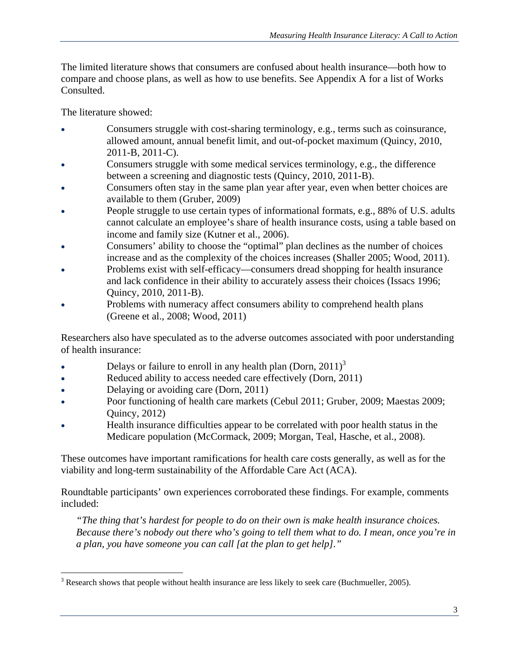The limited literature shows that consumers are confused about health insurance—both how to compare and choose plans, as well as how to use benefits. See Appendix A for a list of Works Consulted.

The literature showed:

- Consumers struggle with cost-sharing terminology, e.g., terms such as coinsurance, allowed amount, annual benefit limit, and out-of-pocket maximum (Quincy, 2010, 2011-B, 2011-C).
- Consumers struggle with some medical services terminology, e.g., the difference between a screening and diagnostic tests (Quincy, 2010, 2011-B).
- Consumers often stay in the same plan year after year, even when better choices are available to them (Gruber, 2009)
- People struggle to use certain types of informational formats, e.g., 88% of U.S. adults cannot calculate an employee's share of health insurance costs, using a table based on income and family size (Kutner et al., 2006).
- Consumers' ability to choose the "optimal" plan declines as the number of choices increase and as the complexity of the choices increases (Shaller 2005; Wood, 2011).
- Problems exist with self-efficacy—consumers dread shopping for health insurance and lack confidence in their ability to accurately assess their choices (Issacs 1996; Quincy, 2010, 2011-B).
- Problems with numeracy affect consumers ability to comprehend health plans (Greene et al., 2008; Wood, 2011)

Researchers also have speculated as to the adverse outcomes associated with poor understanding of health insurance:

- Delays or failure to enroll in any health plan (Dorn,  $2011$ )<sup>3</sup>
- Reduced ability to access needed care effectively (Dorn, 2011)
- Delaying or avoiding care (Dorn, 2011)
- Poor functioning of health care markets (Cebul 2011; Gruber, 2009; Maestas 2009; Quincy, 2012)
- Health insurance difficulties appear to be correlated with poor health status in the Medicare population (McCormack, 2009; Morgan, Teal, Hasche, et al., 2008).

These outcomes have important ramifications for health care costs generally, as well as for the viability and long-term sustainability of the Affordable Care Act (ACA).

Roundtable participants' own experiences corroborated these findings. For example, comments included:

*"The thing that's hardest for people to do on their own is make health insurance choices. Because there's nobody out there who's going to tell them what to do. I mean, once you're in a plan, you have someone you can call [at the plan to get help]."* 

 $\overline{a}$  $3$  Research shows that people without health insurance are less likely to seek care (Buchmueller, 2005).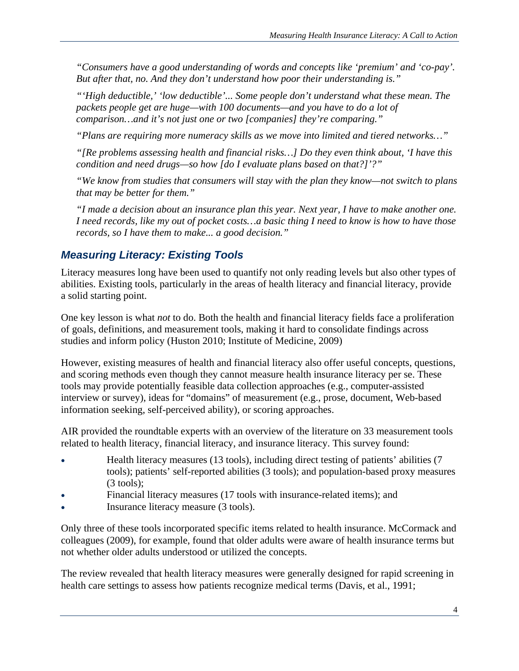*"Consumers have a good understanding of words and concepts like 'premium' and 'co-pay'. But after that, no. And they don't understand how poor their understanding is."* 

*"'High deductible,' 'low deductible'... Some people don't understand what these mean. The*  packets people get are huge—with 100 documents—and you have to do a lot of *comparison…and it's not just one or two [companies] they're comparing."* 

*"Plans are requiring more numeracy skills as we move into limited and tiered networks…"* 

*"[Re problems assessing health and financial risks…] Do they even think about, 'I have this condition and need drugs—so how [do I evaluate plans based on that?]'?"* 

*"We know from studies that consumers will stay with the plan they know—not switch to plans that may be better for them."* 

*"I made a decision about an insurance plan this year. Next year, I have to make another one. I need records, like my out of pocket costs…a basic thing I need to know is how to have those records, so I have them to make... a good decision."* 

### *Measuring Literacy: Existing Tools*

Literacy measures long have been used to quantify not only reading levels but also other types of abilities. Existing tools, particularly in the areas of health literacy and financial literacy, provide a solid starting point.

One key lesson is what *not* to do. Both the health and financial literacy fields face a proliferation of goals, definitions, and measurement tools, making it hard to consolidate findings across studies and inform policy (Huston 2010; Institute of Medicine, 2009)

However, existing measures of health and financial literacy also offer useful concepts, questions, and scoring methods even though they cannot measure health insurance literacy per se. These tools may provide potentially feasible data collection approaches (e.g., computer-assisted interview or survey), ideas for "domains" of measurement (e.g., prose, document, Web-based information seeking, self-perceived ability), or scoring approaches.

AIR provided the roundtable experts with an overview of the literature on 33 measurement tools related to health literacy, financial literacy, and insurance literacy. This survey found:

- Health literacy measures (13 tools), including direct testing of patients' abilities (7 tools); patients' self-reported abilities (3 tools); and population-based proxy measures  $(3 \text{ tools})$ ;
- Financial literacy measures (17 tools with insurance-related items); and
- Insurance literacy measure (3 tools).

Only three of these tools incorporated specific items related to health insurance. McCormack and colleagues (2009), for example, found that older adults were aware of health insurance terms but not whether older adults understood or utilized the concepts.

The review revealed that health literacy measures were generally designed for rapid screening in health care settings to assess how patients recognize medical terms (Davis, et al., 1991;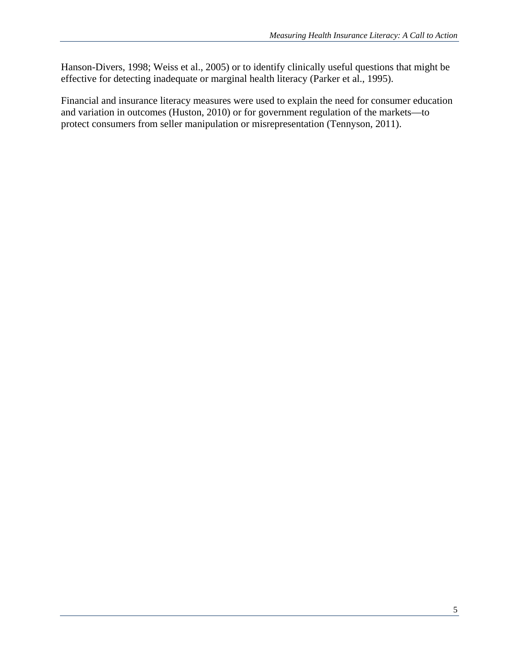Hanson-Divers, 1998; Weiss et al., 2005) or to identify clinically useful questions that might be effective for detecting inadequate or marginal health literacy (Parker et al., 1995).

Financial and insurance literacy measures were used to explain the need for consumer education and variation in outcomes (Huston, 2010) or for government regulation of the markets—to protect consumers from seller manipulation or misrepresentation (Tennyson, 2011).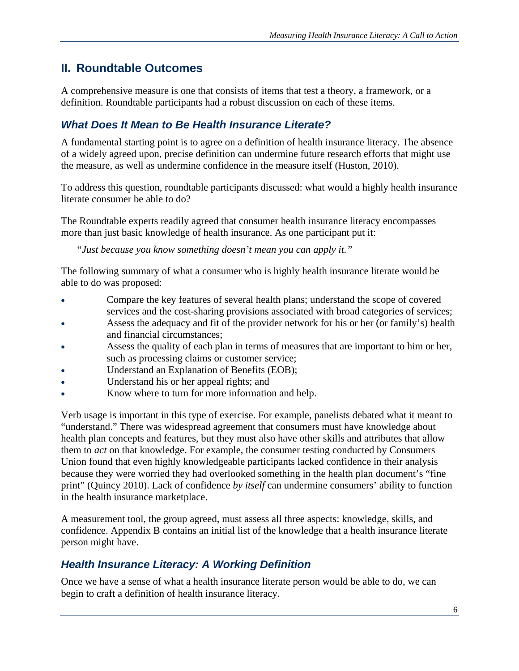### **II. Roundtable Outcomes**

A comprehensive measure is one that consists of items that test a theory, a framework, or a definition. Roundtable participants had a robust discussion on each of these items.

#### *What Does It Mean to Be Health Insurance Literate?*

A fundamental starting point is to agree on a definition of health insurance literacy. The absence of a widely agreed upon, precise definition can undermine future research efforts that might use the measure, as well as undermine confidence in the measure itself (Huston, 2010).

To address this question, roundtable participants discussed: what would a highly health insurance literate consumer be able to do?

The Roundtable experts readily agreed that consumer health insurance literacy encompasses more than just basic knowledge of health insurance. As one participant put it:

*"Just because you know something doesn't mean you can apply it."* 

The following summary of what a consumer who is highly health insurance literate would be able to do was proposed:

- Compare the key features of several health plans; understand the scope of covered services and the cost-sharing provisions associated with broad categories of services;
- Assess the adequacy and fit of the provider network for his or her (or family's) health and financial circumstances;
- Assess the quality of each plan in terms of measures that are important to him or her, such as processing claims or customer service;
- Understand an Explanation of Benefits (EOB);
- Understand his or her appeal rights; and
- Know where to turn for more information and help.

Verb usage is important in this type of exercise. For example, panelists debated what it meant to "understand." There was widespread agreement that consumers must have knowledge about health plan concepts and features, but they must also have other skills and attributes that allow them to *act* on that knowledge. For example, the consumer testing conducted by Consumers Union found that even highly knowledgeable participants lacked confidence in their analysis because they were worried they had overlooked something in the health plan document's "fine print" (Quincy 2010). Lack of confidence *by itself* can undermine consumers' ability to function in the health insurance marketplace.

A measurement tool, the group agreed, must assess all three aspects: knowledge, skills, and confidence. Appendix B contains an initial list of the knowledge that a health insurance literate person might have.

#### *Health Insurance Literacy: A Working Definition*

Once we have a sense of what a health insurance literate person would be able to do, we can begin to craft a definition of health insurance literacy.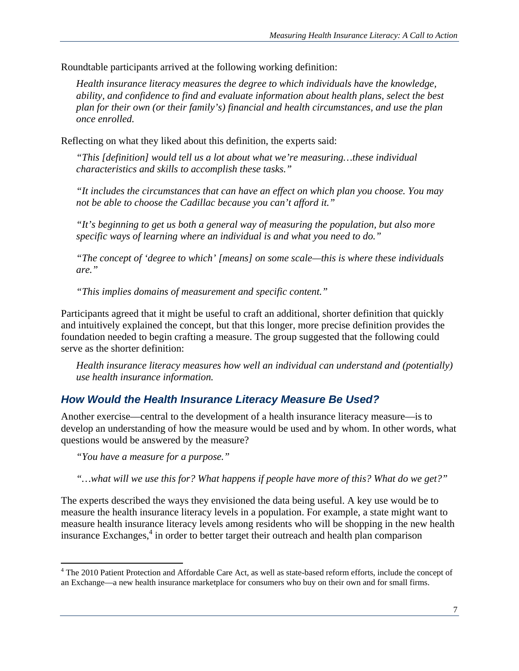Roundtable participants arrived at the following working definition:

*Health insurance literacy measures the degree to which individuals have the knowledge, ability, and confidence to find and evaluate information about health plans, select the best plan for their own (or their family's) financial and health circumstances, and use the plan once enrolled.* 

Reflecting on what they liked about this definition, the experts said:

*"This [definition] would tell us a lot about what we're measuring…these individual characteristics and skills to accomplish these tasks."* 

*"It includes the circumstances that can have an effect on which plan you choose. You may not be able to choose the Cadillac because you can't afford it."* 

*"It's beginning to get us both a general way of measuring the population, but also more specific ways of learning where an individual is and what you need to do."* 

*"The concept of 'degree to which' [means] on some scale—this is where these individuals are."* 

*"This implies domains of measurement and specific content."* 

Participants agreed that it might be useful to craft an additional, shorter definition that quickly and intuitively explained the concept, but that this longer, more precise definition provides the foundation needed to begin crafting a measure. The group suggested that the following could serve as the shorter definition:

*Health insurance literacy measures how well an individual can understand and (potentially) use health insurance information.* 

### *How Would the Health Insurance Literacy Measure Be Used?*

Another exercise—central to the development of a health insurance literacy measure—is to develop an understanding of how the measure would be used and by whom. In other words, what questions would be answered by the measure?

*"You have a measure for a purpose."* 

*"…what will we use this for? What happens if people have more of this? What do we get?"* 

The experts described the ways they envisioned the data being useful. A key use would be to measure the health insurance literacy levels in a population. For example, a state might want to measure health insurance literacy levels among residents who will be shopping in the new health insurance Exchanges,<sup>4</sup> in order to better target their outreach and health plan comparison

<sup>1</sup> <sup>4</sup> The 2010 Patient Protection and Affordable Care Act, as well as state-based reform efforts, include the concept of an Exchange—a new health insurance marketplace for consumers who buy on their own and for small firms.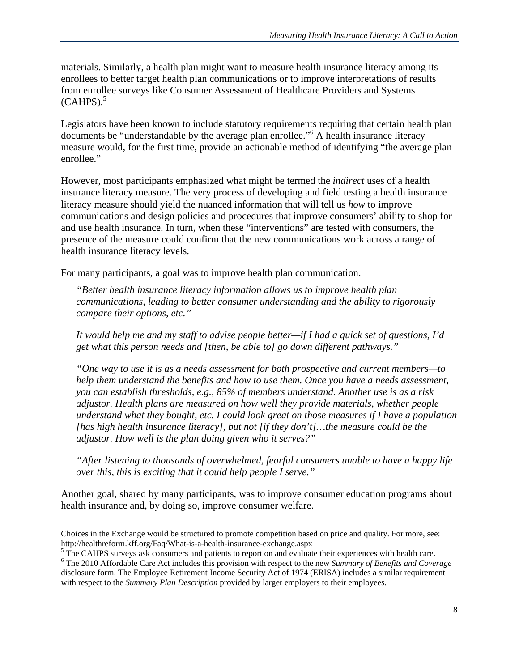materials. Similarly, a health plan might want to measure health insurance literacy among its enrollees to better target health plan communications or to improve interpretations of results from enrollee surveys like Consumer Assessment of Healthcare Providers and Systems  $(CAHPS).$ <sup>5</sup>

Legislators have been known to include statutory requirements requiring that certain health plan documents be "understandable by the average plan enrollee."6 A health insurance literacy measure would, for the first time, provide an actionable method of identifying "the average plan enrollee."

However, most participants emphasized what might be termed the *indirect* uses of a health insurance literacy measure. The very process of developing and field testing a health insurance literacy measure should yield the nuanced information that will tell us *how* to improve communications and design policies and procedures that improve consumers' ability to shop for and use health insurance. In turn, when these "interventions" are tested with consumers, the presence of the measure could confirm that the new communications work across a range of health insurance literacy levels.

For many participants, a goal was to improve health plan communication.

*"Better health insurance literacy information allows us to improve health plan communications, leading to better consumer understanding and the ability to rigorously compare their options, etc."* 

*It would help me and my staff to advise people better—if I had a quick set of questions, I'd get what this person needs and [then, be able to] go down different pathways."* 

*"One way to use it is as a needs assessment for both prospective and current members—to help them understand the benefits and how to use them. Once you have a needs assessment, you can establish thresholds, e.g., 85% of members understand. Another use is as a risk adjustor. Health plans are measured on how well they provide materials, whether people understand what they bought, etc. I could look great on those measures if I have a population [has high health insurance literacy], but not [if they don't]…the measure could be the adjustor. How well is the plan doing given who it serves?"* 

*"After listening to thousands of overwhelmed, fearful consumers unable to have a happy life over this, this is exciting that it could help people I serve."* 

Another goal, shared by many participants, was to improve consumer education programs about health insurance and, by doing so, improve consumer welfare.

<u> 1989 - Johann Stein, marwolaethau a cyfeiliad y cyfeiliad a gynydd a gynydd a gynydd a gynydd a gynydd a gyn</u>

Choices in the Exchange would be structured to promote competition based on price and quality. For more, see: http://healthreform.kff.org/Faq/What-is-a-health-insurance-exchange.aspx 5

<sup>&</sup>lt;sup>5</sup> The CAHPS surveys ask consumers and patients to report on and evaluate their experiences with health care.

The 2010 Affordable Care Act includes this provision with respect to the new *Summary of Benefits and Coverage* disclosure form. The Employee Retirement Income Security Act of 1974 (ERISA) includes a similar requirement with respect to the *Summary Plan Description* provided by larger employers to their employees.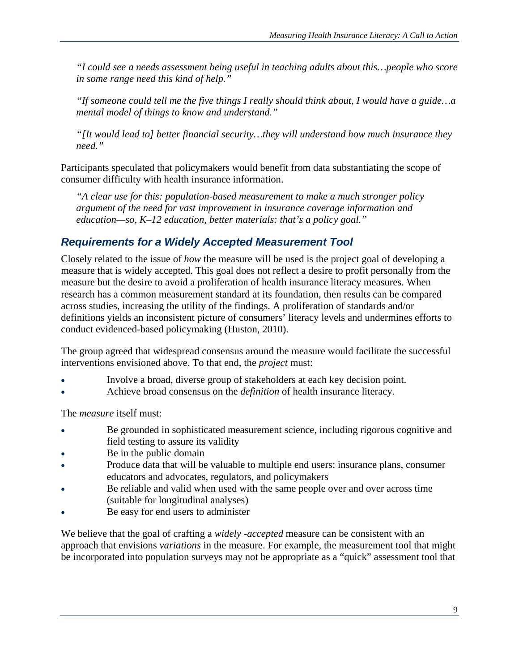*"I could see a needs assessment being useful in teaching adults about this…people who score in some range need this kind of help."* 

*"If someone could tell me the five things I really should think about, I would have a guide…a mental model of things to know and understand."* 

*"[It would lead to] better financial security…they will understand how much insurance they need."* 

Participants speculated that policymakers would benefit from data substantiating the scope of consumer difficulty with health insurance information.

*"A clear use for this: population-based measurement to make a much stronger policy argument of the need for vast improvement in insurance coverage information and education—so, K–12 education, better materials: that's a policy goal."* 

### *Requirements for a Widely Accepted Measurement Tool*

Closely related to the issue of *how* the measure will be used is the project goal of developing a measure that is widely accepted. This goal does not reflect a desire to profit personally from the measure but the desire to avoid a proliferation of health insurance literacy measures. When research has a common measurement standard at its foundation, then results can be compared across studies, increasing the utility of the findings. A proliferation of standards and/or definitions yields an inconsistent picture of consumers' literacy levels and undermines efforts to conduct evidenced-based policymaking (Huston, 2010).

The group agreed that widespread consensus around the measure would facilitate the successful interventions envisioned above. To that end, the *project* must:

- Involve a broad, diverse group of stakeholders at each key decision point.
- Achieve broad consensus on the *definition* of health insurance literacy.

The *measure* itself must:

- Be grounded in sophisticated measurement science, including rigorous cognitive and field testing to assure its validity
- Be in the public domain
- Produce data that will be valuable to multiple end users: insurance plans, consumer educators and advocates, regulators, and policymakers
- Be reliable and valid when used with the same people over and over across time (suitable for longitudinal analyses)
- Be easy for end users to administer

We believe that the goal of crafting a *widely -accepted* measure can be consistent with an approach that envisions *variations* in the measure. For example, the measurement tool that might be incorporated into population surveys may not be appropriate as a "quick" assessment tool that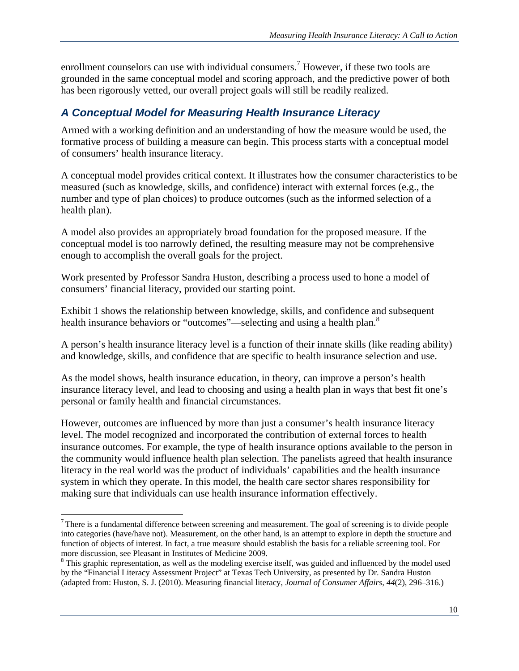enrollment counselors can use with individual consumers.<sup>7</sup> However, if these two tools are grounded in the same conceptual model and scoring approach, and the predictive power of both has been rigorously vetted, our overall project goals will still be readily realized.

### *A Conceptual Model for Measuring Health Insurance Literacy*

Armed with a working definition and an understanding of how the measure would be used, the formative process of building a measure can begin. This process starts with a conceptual model of consumers' health insurance literacy.

A conceptual model provides critical context. It illustrates how the consumer characteristics to be measured (such as knowledge, skills, and confidence) interact with external forces (e.g., the number and type of plan choices) to produce outcomes (such as the informed selection of a health plan).

A model also provides an appropriately broad foundation for the proposed measure. If the conceptual model is too narrowly defined, the resulting measure may not be comprehensive enough to accomplish the overall goals for the project.

Work presented by Professor Sandra Huston, describing a process used to hone a model of consumers' financial literacy, provided our starting point.

Exhibit 1 shows the relationship between knowledge, skills, and confidence and subsequent health insurance behaviors or "outcomes"—selecting and using a health plan.<sup>8</sup>

A person's health insurance literacy level is a function of their innate skills (like reading ability) and knowledge, skills, and confidence that are specific to health insurance selection and use.

As the model shows, health insurance education, in theory, can improve a person's health insurance literacy level, and lead to choosing and using a health plan in ways that best fit one's personal or family health and financial circumstances.

However, outcomes are influenced by more than just a consumer's health insurance literacy level. The model recognized and incorporated the contribution of external forces to health insurance outcomes. For example, the type of health insurance options available to the person in the community would influence health plan selection. The panelists agreed that health insurance literacy in the real world was the product of individuals' capabilities and the health insurance system in which they operate. In this model, the health care sector shares responsibility for making sure that individuals can use health insurance information effectively.

 $\overline{a}$  $7$  There is a fundamental difference between screening and measurement. The goal of screening is to divide people into categories (have/have not). Measurement, on the other hand, is an attempt to explore in depth the structure and function of objects of interest. In fact, a true measure should establish the basis for a reliable screening tool. For more discussion, see Pleasant in Institutes of Medicine 2009.

 $8$  This graphic representation, as well as the modeling exercise itself, was guided and influenced by the model used by the "Financial Literacy Assessment Project" at Texas Tech University, as presented by Dr. Sandra Huston (adapted from: Huston, S. J. (2010). Measuring financial literacy, *Journal of Consumer Affairs*, *44*(2), 296–316.)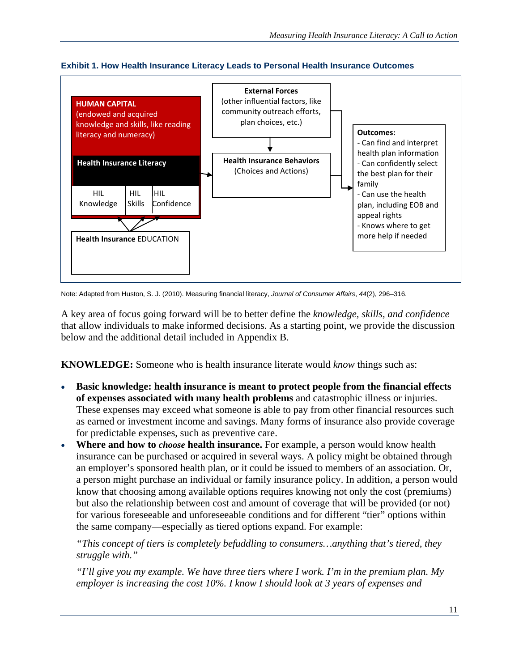



Note: Adapted from Huston, S. J. (2010). Measuring financial literacy, *Journal of Consumer Affairs*, *44*(2), 296–316.

A key area of focus going forward will be to better define the *knowledge, skills, and confidence* that allow individuals to make informed decisions. As a starting point, we provide the discussion below and the additional detail included in Appendix B.

**KNOWLEDGE:** Someone who is health insurance literate would *know* things such as:

- **Basic knowledge: health insurance is meant to protect people from the financial effects of expenses associated with many health problems** and catastrophic illness or injuries. These expenses may exceed what someone is able to pay from other financial resources such as earned or investment income and savings. Many forms of insurance also provide coverage for predictable expenses, such as preventive care.
- **Where and how to** *choose* **health insurance.** For example, a person would know health insurance can be purchased or acquired in several ways. A policy might be obtained through an employer's sponsored health plan, or it could be issued to members of an association. Or, a person might purchase an individual or family insurance policy. In addition, a person would know that choosing among available options requires knowing not only the cost (premiums) but also the relationship between cost and amount of coverage that will be provided (or not) for various foreseeable and unforeseeable conditions and for different "tier" options within the same company—especially as tiered options expand. For example:

*"This concept of tiers is completely befuddling to consumers…anything that's tiered, they struggle with."* 

*"I'll give you my example. We have three tiers where I work. I'm in the premium plan. My employer is increasing the cost 10%. I know I should look at 3 years of expenses and*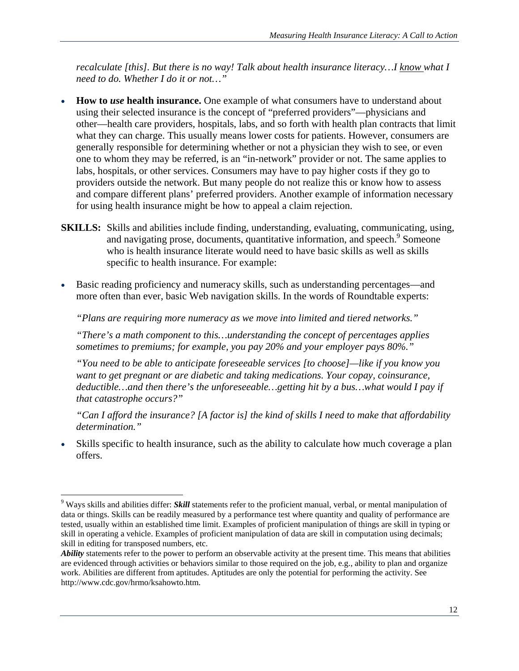*recalculate [this]. But there is no way! Talk about health insurance literacy…I know what I need to do. Whether I do it or not…"* 

- **How to** *use* **health insurance.** One example of what consumers have to understand about using their selected insurance is the concept of "preferred providers"—physicians and other—health care providers, hospitals, labs, and so forth with health plan contracts that limit what they can charge. This usually means lower costs for patients. However, consumers are generally responsible for determining whether or not a physician they wish to see, or even one to whom they may be referred, is an "in-network" provider or not. The same applies to labs, hospitals, or other services. Consumers may have to pay higher costs if they go to providers outside the network. But many people do not realize this or know how to assess and compare different plans' preferred providers. Another example of information necessary for using health insurance might be how to appeal a claim rejection.
- **SKILLS:** Skills and abilities include finding, understanding, evaluating, communicating, using, and navigating prose, documents, quantitative information, and speech.<sup>9</sup> Someone who is health insurance literate would need to have basic skills as well as skills specific to health insurance. For example:
- Basic reading proficiency and numeracy skills, such as understanding percentages—and more often than ever, basic Web navigation skills. In the words of Roundtable experts:

*"Plans are requiring more numeracy as we move into limited and tiered networks."* 

*"There's a math component to this…understanding the concept of percentages applies sometimes to premiums; for example, you pay 20% and your employer pays 80%."* 

*"You need to be able to anticipate foreseeable services [to choose]—like if you know you want to get pregnant or are diabetic and taking medications. Your copay, coinsurance, deductible…and then there's the unforeseeable…getting hit by a bus…what would I pay if that catastrophe occurs?"* 

*"Can I afford the insurance? [A factor is] the kind of skills I need to make that affordability determination."* 

Skills specific to health insurance, such as the ability to calculate how much coverage a plan offers.

 $\overline{a}$ 

<sup>9</sup> Ways skills and abilities differ: *Skill* statements refer to the proficient manual, verbal, or mental manipulation of data or things. Skills can be readily measured by a performance test where quantity and quality of performance are tested, usually within an established time limit. Examples of proficient manipulation of things are skill in typing or skill in operating a vehicle. Examples of proficient manipulation of data are skill in computation using decimals; skill in editing for transposed numbers, etc.

*Ability* statements refer to the power to perform an observable activity at the present time. This means that abilities are evidenced through activities or behaviors similar to those required on the job, e.g., ability to plan and organize work. Abilities are different from aptitudes. Aptitudes are only the potential for performing the activity. See http://www.cdc.gov/hrmo/ksahowto.htm.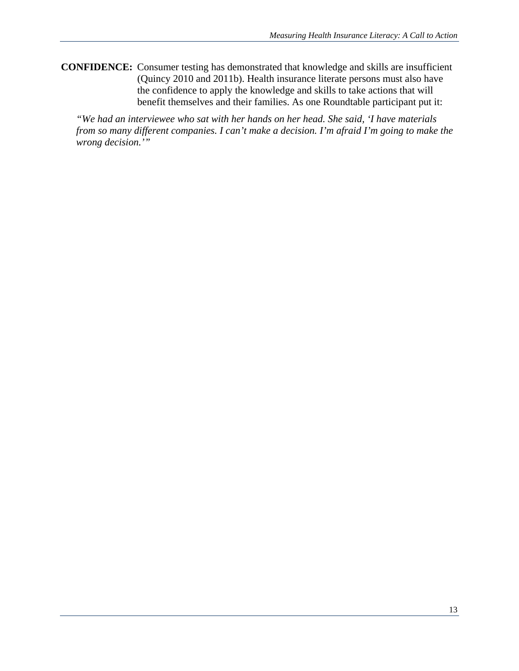**CONFIDENCE:** Consumer testing has demonstrated that knowledge and skills are insufficient (Quincy 2010 and 2011b). Health insurance literate persons must also have the confidence to apply the knowledge and skills to take actions that will benefit themselves and their families. As one Roundtable participant put it:

*"We had an interviewee who sat with her hands on her head. She said, 'I have materials from so many different companies. I can't make a decision. I'm afraid I'm going to make the wrong decision.'"*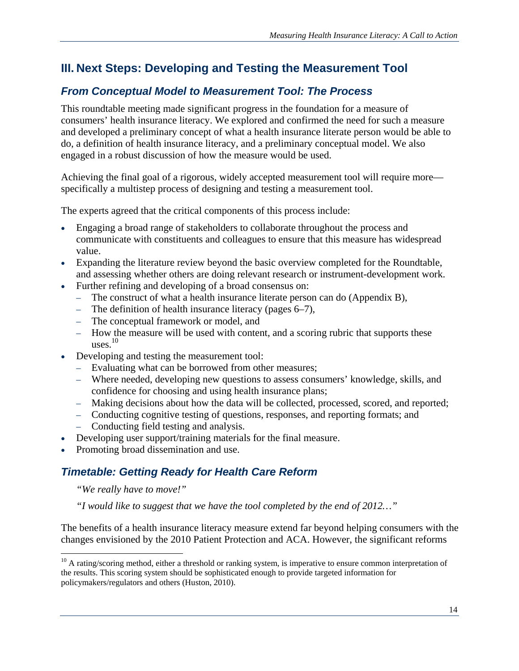### **III. Next Steps: Developing and Testing the Measurement Tool**

### *From Conceptual Model to Measurement Tool: The Process*

This roundtable meeting made significant progress in the foundation for a measure of consumers' health insurance literacy. We explored and confirmed the need for such a measure and developed a preliminary concept of what a health insurance literate person would be able to do, a definition of health insurance literacy, and a preliminary conceptual model. We also engaged in a robust discussion of how the measure would be used.

Achieving the final goal of a rigorous, widely accepted measurement tool will require more specifically a multistep process of designing and testing a measurement tool.

The experts agreed that the critical components of this process include:

- Engaging a broad range of stakeholders to collaborate throughout the process and communicate with constituents and colleagues to ensure that this measure has widespread value.
- Expanding the literature review beyond the basic overview completed for the Roundtable, and assessing whether others are doing relevant research or instrument-development work.
- Further refining and developing of a broad consensus on:
	- The construct of what a health insurance literate person can do (Appendix B),
	- The definition of health insurance literacy (pages 6–7),
	- The conceptual framework or model, and
	- How the measure will be used with content, and a scoring rubric that supports these  $_{\text{uses}}^{10}$
- Developing and testing the measurement tool:
	- Evaluating what can be borrowed from other measures;
	- Where needed, developing new questions to assess consumers' knowledge, skills, and confidence for choosing and using health insurance plans;
	- Making decisions about how the data will be collected, processed, scored, and reported;
	- Conducting cognitive testing of questions, responses, and reporting formats; and
	- Conducting field testing and analysis.
- Developing user support/training materials for the final measure.
- Promoting broad dissemination and use.

### *Timetable: Getting Ready for Health Care Reform*

#### *"We really have to move!"*

 $\overline{a}$ 

*"I would like to suggest that we have the tool completed by the end of 2012…"* 

The benefits of a health insurance literacy measure extend far beyond helping consumers with the changes envisioned by the 2010 Patient Protection and ACA. However, the significant reforms

 $10$  A rating/scoring method, either a threshold or ranking system, is imperative to ensure common interpretation of the results. This scoring system should be sophisticated enough to provide targeted information for policymakers/regulators and others (Huston, 2010).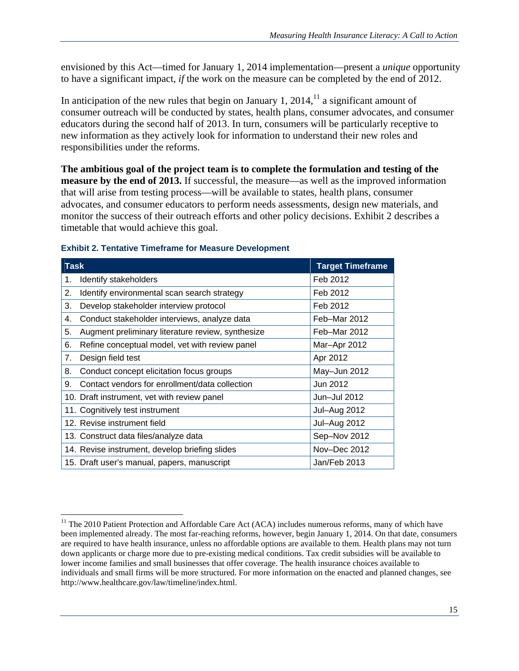envisioned by this Act—timed for January 1, 2014 implementation—present a *unique* opportunity to have a significant impact, *if* the work on the measure can be completed by the end of 2012.

In anticipation of the new rules that begin on January 1, 2014, $^{11}$  a significant amount of consumer outreach will be conducted by states, health plans, consumer advocates, and consumer educators during the second half of 2013. In turn, consumers will be particularly receptive to new information as they actively look for information to understand their new roles and responsibilities under the reforms.

**The ambitious goal of the project team is to complete the formulation and testing of the measure by the end of 2013.** If successful, the measure—as well as the improved information that will arise from testing process—will be available to states, health plans, consumer advocates, and consumer educators to perform needs assessments, design new materials, and monitor the success of their outreach efforts and other policy decisions. Exhibit 2 describes a timetable that would achieve this goal.

| <b>Task</b> |                                                   | <b>Target Timeframe</b> |
|-------------|---------------------------------------------------|-------------------------|
| 1.          | Identify stakeholders                             | Feb 2012                |
| 2.          | Identify environmental scan search strategy       | Feb 2012                |
| 3.          | Develop stakeholder interview protocol            | Feb 2012                |
| 4.          | Conduct stakeholder interviews, analyze data      | Feb-Mar 2012            |
| 5.          | Augment preliminary literature review, synthesize | Feb-Mar 2012            |
| 6.          | Refine conceptual model, vet with review panel    | Mar-Apr 2012            |
| 7.          | Design field test                                 | Apr 2012                |
| 8.          | Conduct concept elicitation focus groups          | May-Jun 2012            |
| 9.          | Contact vendors for enrollment/data collection    | Jun 2012                |
|             | 10. Draft instrument, vet with review panel       | Jun-Jul 2012            |
|             | 11. Cognitively test instrument                   | Jul-Aug 2012            |
|             | 12. Revise instrument field                       | Jul-Aug 2012            |
|             | 13. Construct data files/analyze data             | Sep-Nov 2012            |
|             | 14. Revise instrument, develop briefing slides    | Nov-Dec 2012            |
|             | 15. Draft user's manual, papers, manuscript       | Jan/Feb 2013            |

#### **Exhibit 2. Tentative Timeframe for Measure Development**

 $\overline{a}$ 

 $11$  The 2010 Patient Protection and Affordable Care Act (ACA) includes numerous reforms, many of which have been implemented already. The most far-reaching reforms, however, begin January 1, 2014. On that date, consumers are required to have health insurance, unless no affordable options are available to them. Health plans may not turn down applicants or charge more due to pre-existing medical conditions. Tax credit subsidies will be available to lower income families and small businesses that offer coverage. The health insurance choices available to individuals and small firms will be more structured. For more information on the enacted and planned changes, see http://www.healthcare.gov/law/timeline/index.html.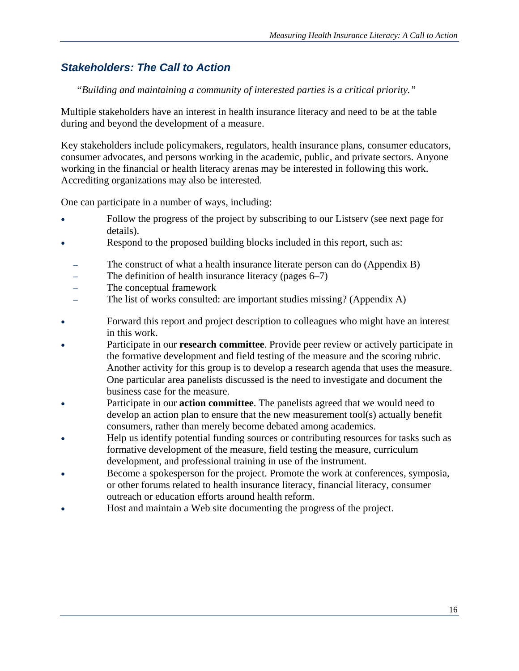### *Stakeholders: The Call to Action*

#### *"Building and maintaining a community of interested parties is a critical priority."*

Multiple stakeholders have an interest in health insurance literacy and need to be at the table during and beyond the development of a measure.

Key stakeholders include policymakers, regulators, health insurance plans, consumer educators, consumer advocates, and persons working in the academic, public, and private sectors. Anyone working in the financial or health literacy arenas may be interested in following this work. Accrediting organizations may also be interested.

One can participate in a number of ways, including:

- Follow the progress of the project by subscribing to our Listserv (see next page for details).
- Respond to the proposed building blocks included in this report, such as:
	- The construct of what a health insurance literate person can do (Appendix B)
	- The definition of health insurance literacy (pages  $6-7$ )
	- The conceptual framework
	- The list of works consulted: are important studies missing? (Appendix A)
- Forward this report and project description to colleagues who might have an interest in this work.
- Participate in our **research committee**. Provide peer review or actively participate in the formative development and field testing of the measure and the scoring rubric. Another activity for this group is to develop a research agenda that uses the measure. One particular area panelists discussed is the need to investigate and document the business case for the measure.
- Participate in our **action committee**. The panelists agreed that we would need to develop an action plan to ensure that the new measurement tool(s) actually benefit consumers, rather than merely become debated among academics.
- Help us identify potential funding sources or contributing resources for tasks such as formative development of the measure, field testing the measure, curriculum development, and professional training in use of the instrument.
- Become a spokesperson for the project. Promote the work at conferences, symposia, or other forums related to health insurance literacy, financial literacy, consumer outreach or education efforts around health reform.
- Host and maintain a Web site documenting the progress of the project.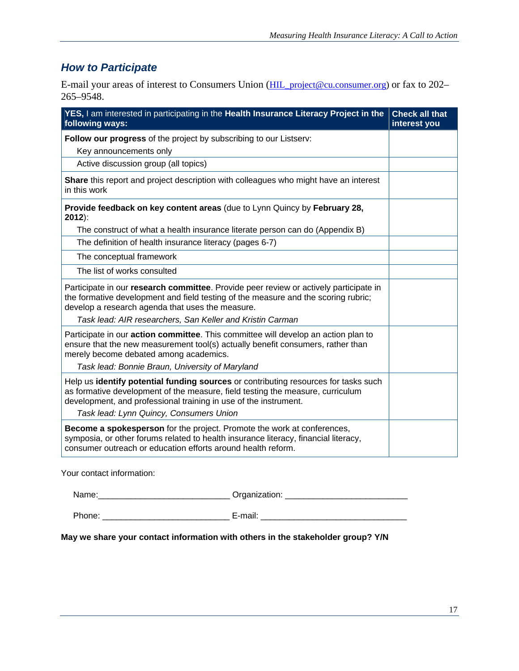### *How to Participate*

E-mail your areas of interest to Consumers Union (HIL\_project@cu.consumer.org) or fax to 202– 265–9548.

| YES, I am interested in participating in the Health Insurance Literacy Project in the<br>following ways:                                                                                                                                                                             | <b>Check all that</b><br>interest you |
|--------------------------------------------------------------------------------------------------------------------------------------------------------------------------------------------------------------------------------------------------------------------------------------|---------------------------------------|
| Follow our progress of the project by subscribing to our Listserv:<br>Key announcements only                                                                                                                                                                                         |                                       |
| Active discussion group (all topics)                                                                                                                                                                                                                                                 |                                       |
| Share this report and project description with colleagues who might have an interest<br>in this work                                                                                                                                                                                 |                                       |
| Provide feedback on key content areas (due to Lynn Quincy by February 28,<br>$2012$ :                                                                                                                                                                                                |                                       |
| The construct of what a health insurance literate person can do (Appendix B)                                                                                                                                                                                                         |                                       |
| The definition of health insurance literacy (pages 6-7)                                                                                                                                                                                                                              |                                       |
| The conceptual framework                                                                                                                                                                                                                                                             |                                       |
| The list of works consulted                                                                                                                                                                                                                                                          |                                       |
| Participate in our research committee. Provide peer review or actively participate in<br>the formative development and field testing of the measure and the scoring rubric;<br>develop a research agenda that uses the measure.                                                      |                                       |
| Task lead: AIR researchers, San Keller and Kristin Carman                                                                                                                                                                                                                            |                                       |
| Participate in our action committee. This committee will develop an action plan to<br>ensure that the new measurement tool(s) actually benefit consumers, rather than<br>merely become debated among academics.                                                                      |                                       |
| Task lead: Bonnie Braun, University of Maryland                                                                                                                                                                                                                                      |                                       |
| Help us identify potential funding sources or contributing resources for tasks such<br>as formative development of the measure, field testing the measure, curriculum<br>development, and professional training in use of the instrument.<br>Task lead: Lynn Quincy, Consumers Union |                                       |
| Become a spokesperson for the project. Promote the work at conferences,<br>symposia, or other forums related to health insurance literacy, financial literacy,<br>consumer outreach or education efforts around health reform.                                                       |                                       |

Your contact information:

Name:\_\_\_\_\_\_\_\_\_\_\_\_\_\_\_\_\_\_\_\_\_\_\_\_\_\_\_\_ Organization: \_\_\_\_\_\_\_\_\_\_\_\_\_\_\_\_\_\_\_\_\_\_\_\_\_\_

Phone: \_\_\_\_\_\_\_\_\_\_\_\_\_\_\_\_\_\_\_\_\_\_\_\_\_\_\_ E-mail: \_\_\_\_\_\_\_\_\_\_\_\_\_\_\_\_\_\_\_\_\_\_\_\_\_\_\_\_\_\_\_

**May we share your contact information with others in the stakeholder group? Y/N**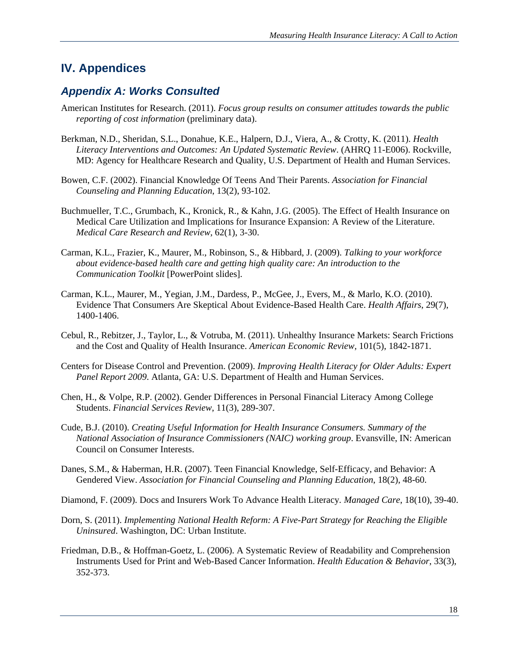### **IV. Appendices**

#### *Appendix A: Works Consulted*

- American Institutes for Research. (2011). *Focus group results on consumer attitudes towards the public reporting of cost information* (preliminary data).
- Berkman, N.D., Sheridan, S.L., Donahue, K.E., Halpern, D.J., Viera, A., & Crotty, K. (2011). *Health Literacy Interventions and Outcomes: An Updated Systematic Review*. (AHRQ 11-E006). Rockville, MD: Agency for Healthcare Research and Quality, U.S. Department of Health and Human Services.
- Bowen, C.F. (2002). Financial Knowledge Of Teens And Their Parents. *Association for Financial Counseling and Planning Education*, 13(2), 93-102.
- Buchmueller, T.C., Grumbach, K., Kronick, R., & Kahn, J.G. (2005). The Effect of Health Insurance on Medical Care Utilization and Implications for Insurance Expansion: A Review of the Literature. *Medical Care Research and Review,* 62(1), 3-30.
- Carman, K.L., Frazier, K., Maurer, M., Robinson, S., & Hibbard, J. (2009). *Talking to your workforce about evidence-based health care and getting high quality care: An introduction to the Communication Toolkit* [PowerPoint slides].
- Carman, K.L., Maurer, M., Yegian, J.M., Dardess, P., McGee, J., Evers, M., & Marlo, K.O. (2010). Evidence That Consumers Are Skeptical About Evidence-Based Health Care. *Health Affairs*, 29(7), 1400-1406.
- Cebul, R., Rebitzer, J., Taylor, L., & Votruba, M. (2011). Unhealthy Insurance Markets: Search Frictions and the Cost and Quality of Health Insurance. *American Economic Review,* 101(5), 1842-1871.
- Centers for Disease Control and Prevention. (2009). *Improving Health Literacy for Older Adults: Expert Panel Report 2009*. Atlanta, GA: U.S. Department of Health and Human Services.
- Chen, H., & Volpe, R.P. (2002). Gender Differences in Personal Financial Literacy Among College Students. *Financial Services Review*, 11(3), 289-307.
- Cude, B.J. (2010). *Creating Useful Information for Health Insurance Consumers. Summary of the National Association of Insurance Commissioners (NAIC) working group*. Evansville, IN: American Council on Consumer Interests.
- Danes, S.M., & Haberman, H.R. (2007). Teen Financial Knowledge, Self-Efficacy, and Behavior: A Gendered View. *Association for Financial Counseling and Planning Education*, 18(2), 48-60.
- Diamond, F. (2009). Docs and Insurers Work To Advance Health Literacy*. Managed Care*, 18(10), 39-40.
- Dorn, S. (2011). *Implementing National Health Reform: A Five-Part Strategy for Reaching the Eligible Uninsured*. Washington, DC: Urban Institute.
- Friedman, D.B., & Hoffman-Goetz, L. (2006). A Systematic Review of Readability and Comprehension Instruments Used for Print and Web-Based Cancer Information. *Health Education & Behavior*, 33(3), 352-373.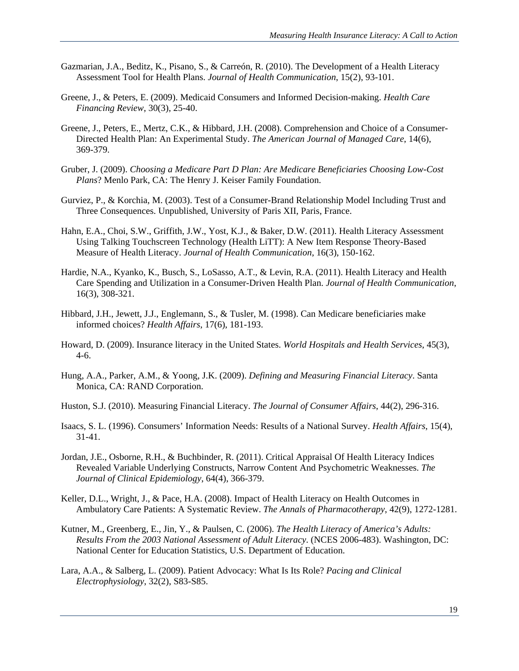- Gazmarian, J.A., Beditz, K., Pisano, S., & Carreón, R. (2010). The Development of a Health Literacy Assessment Tool for Health Plans. *Journal of Health Communication*, 15(2), 93-101.
- Greene, J., & Peters, E. (2009). Medicaid Consumers and Informed Decision-making. *Health Care Financing Review*, 30(3), 25-40.
- Greene, J., Peters, E., Mertz, C.K., & Hibbard, J.H. (2008). Comprehension and Choice of a Consumer-Directed Health Plan: An Experimental Study. *The American Journal of Managed Care*, 14(6), 369-379.
- Gruber, J. (2009). *Choosing a Medicare Part D Plan: Are Medicare Beneficiaries Choosing Low-Cost Plans*? Menlo Park, CA: The Henry J. Keiser Family Foundation.
- Gurviez, P., & Korchia, M. (2003). Test of a Consumer-Brand Relationship Model Including Trust and Three Consequences. Unpublished, University of Paris XII, Paris, France.
- Hahn, E.A., Choi, S.W., Griffith, J.W., Yost, K.J., & Baker, D.W. (2011). Health Literacy Assessment Using Talking Touchscreen Technology (Health LiTT): A New Item Response Theory-Based Measure of Health Literacy. *Journal of Health Communication*, 16(3), 150-162.
- Hardie, N.A., Kyanko, K., Busch, S., LoSasso, A.T., & Levin, R.A. (2011). Health Literacy and Health Care Spending and Utilization in a Consumer-Driven Health Plan. *Journal of Health Communication*, 16(3), 308-321.
- Hibbard, J.H., Jewett, J.J., Englemann, S., & Tusler, M. (1998). Can Medicare beneficiaries make informed choices? *Health Affairs*, 17(6), 181-193.
- Howard, D. (2009). Insurance literacy in the United States. *World Hospitals and Health Services*, 45(3), 4-6.
- Hung, A.A., Parker, A.M., & Yoong, J.K. (2009). *Defining and Measuring Financial Literacy*. Santa Monica, CA: RAND Corporation.
- Huston, S.J. (2010). Measuring Financial Literacy. *The Journal of Consumer Affairs*, 44(2), 296-316.
- Isaacs, S. L. (1996). Consumers' Information Needs: Results of a National Survey. *Health Affairs*, 15(4), 31-41.
- Jordan, J.E., Osborne, R.H., & Buchbinder, R. (2011). Critical Appraisal Of Health Literacy Indices Revealed Variable Underlying Constructs, Narrow Content And Psychometric Weaknesses. *The Journal of Clinical Epidemiology*, 64(4), 366-379.
- Keller, D.L., Wright, J., & Pace, H.A. (2008). Impact of Health Literacy on Health Outcomes in Ambulatory Care Patients: A Systematic Review. *The Annals of Pharmacotherapy*, 42(9), 1272-1281.
- Kutner, M., Greenberg, E., Jin, Y., & Paulsen, C. (2006). *The Health Literacy of America's Adults: Results From the 2003 National Assessment of Adult Literacy*. (NCES 2006-483). Washington, DC: National Center for Education Statistics, U.S. Department of Education.
- Lara, A.A., & Salberg, L. (2009). Patient Advocacy: What Is Its Role? *Pacing and Clinical Electrophysiology*, 32(2), S83-S85.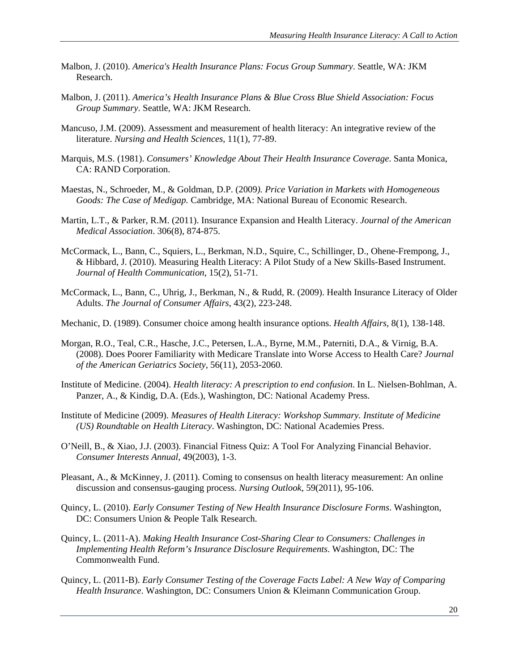- Malbon, J. (2010). *America's Health Insurance Plans: Focus Group Summary*. Seattle, WA: JKM Research.
- Malbon, J. (2011). *America's Health Insurance Plans & Blue Cross Blue Shield Association: Focus Group Summary*. Seattle, WA: JKM Research.
- Mancuso, J.M. (2009). Assessment and measurement of health literacy: An integrative review of the literature. *Nursing and Health Sciences*, 11(1), 77-89.
- Marquis, M.S. (1981). *Consumers' Knowledge About Their Health Insurance Coverage*. Santa Monica, CA: RAND Corporation.
- Maestas, N., Schroeder, M., & Goldman, D.P. (2009*). Price Variation in Markets with Homogeneous Goods: The Case of Medigap.* Cambridge, MA: National Bureau of Economic Research.
- Martin, L.T., & Parker, R.M. (2011). Insurance Expansion and Health Literacy. *Journal of the American Medical Association*. 306(8), 874-875.
- McCormack, L., Bann, C., Squiers, L., Berkman, N.D., Squire, C., Schillinger, D., Ohene-Frempong, J., & Hibbard, J. (2010). Measuring Health Literacy: A Pilot Study of a New Skills-Based Instrument. *Journal of Health Communication*, 15(2), 51-71.
- McCormack, L., Bann, C., Uhrig, J., Berkman, N., & Rudd, R. (2009). Health Insurance Literacy of Older Adults. *The Journal of Consumer Affairs*, 43(2), 223-248.
- Mechanic, D. (1989). Consumer choice among health insurance options. *Health Affairs*, 8(1), 138-148.
- Morgan, R.O., Teal, C.R., Hasche, J.C., Petersen, L.A., Byrne, M.M., Paterniti, D.A., & Virnig, B.A. (2008). Does Poorer Familiarity with Medicare Translate into Worse Access to Health Care? *Journal of the American Geriatrics Society*, 56(11), 2053-2060.
- Institute of Medicine. (2004). *Health literacy: A prescription to end confusion*. In L. Nielsen-Bohlman, A. Panzer, A., & Kindig, D.A. (Eds.), Washington, DC: National Academy Press.
- Institute of Medicine (2009). *Measures of Health Literacy: Workshop Summary. Institute of Medicine (US) Roundtable on Health Literacy*. Washington, DC: National Academies Press.
- O'Neill, B., & Xiao, J.J. (2003). Financial Fitness Quiz: A Tool For Analyzing Financial Behavior. *Consumer Interests Annual*, 49(2003), 1-3.
- Pleasant, A., & McKinney, J. (2011). Coming to consensus on health literacy measurement: An online discussion and consensus-gauging process. *Nursing Outlook*, 59(2011), 95-106.
- Quincy, L. (2010). *Early Consumer Testing of New Health Insurance Disclosure Forms*. Washington, DC: Consumers Union & People Talk Research.
- Quincy, L. (2011-A). *Making Health Insurance Cost-Sharing Clear to Consumers: Challenges in Implementing Health Reform's Insurance Disclosure Requirements*. Washington, DC: The Commonwealth Fund.
- Quincy, L. (2011-B). *Early Consumer Testing of the Coverage Facts Label: A New Way of Comparing Health Insurance*. Washington, DC: Consumers Union & Kleimann Communication Group.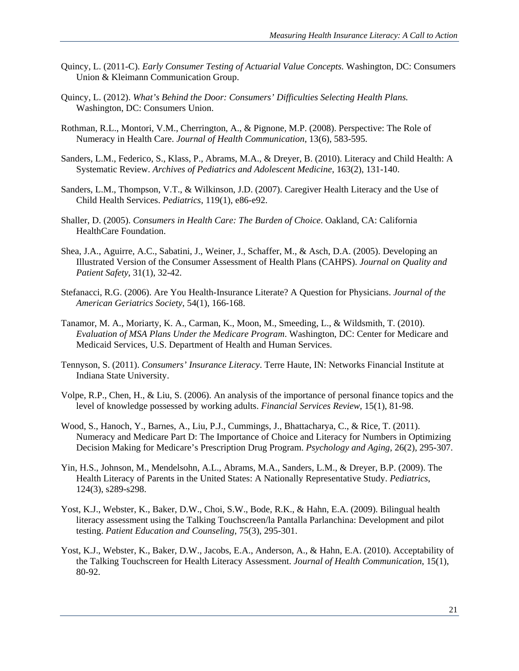- Quincy, L. (2011-C). *Early Consumer Testing of Actuarial Value Concepts.* Washington, DC: Consumers Union & Kleimann Communication Group.
- Quincy, L. (2012). *What's Behind the Door: Consumers' Difficulties Selecting Health Plans.* Washington, DC: Consumers Union.
- Rothman, R.L., Montori, V.M., Cherrington, A., & Pignone, M.P. (2008). Perspective: The Role of Numeracy in Health Care. *Journal of Health Communication*, 13(6), 583-595.
- Sanders, L.M., Federico, S., Klass, P., Abrams, M.A., & Dreyer, B. (2010). Literacy and Child Health: A Systematic Review. *Archives of Pediatrics and Adolescent Medicine*, 163(2), 131-140.
- Sanders, L.M., Thompson, V.T., & Wilkinson, J.D. (2007). Caregiver Health Literacy and the Use of Child Health Services. *Pediatrics*, 119(1), e86-e92.
- Shaller, D. (2005). *Consumers in Health Care: The Burden of Choice*. Oakland, CA: California HealthCare Foundation.
- Shea, J.A., Aguirre, A.C., Sabatini, J., Weiner, J., Schaffer, M., & Asch, D.A. (2005). Developing an Illustrated Version of the Consumer Assessment of Health Plans (CAHPS). *Journal on Quality and Patient Safety*, 31(1), 32-42.
- Stefanacci, R.G. (2006). Are You Health-Insurance Literate? A Question for Physicians. *Journal of the American Geriatrics Society*, 54(1), 166-168.
- Tanamor, M. A., Moriarty, K. A., Carman, K., Moon, M., Smeeding, L., & Wildsmith, T. (2010). *Evaluation of MSA Plans Under the Medicare Program*. Washington, DC: Center for Medicare and Medicaid Services, U.S. Department of Health and Human Services.
- Tennyson, S. (2011). *Consumers' Insurance Literacy*. Terre Haute, IN: Networks Financial Institute at Indiana State University.
- Volpe, R.P., Chen, H., & Liu, S. (2006). An analysis of the importance of personal finance topics and the level of knowledge possessed by working adults. *Financial Services Review*, 15(1), 81-98.
- Wood, S., Hanoch, Y., Barnes, A., Liu, P.J., Cummings, J., Bhattacharya, C., & Rice, T. (2011). Numeracy and Medicare Part D: The Importance of Choice and Literacy for Numbers in Optimizing Decision Making for Medicare's Prescription Drug Program. *Psychology and Aging*, 26(2), 295-307.
- Yin, H.S., Johnson, M., Mendelsohn, A.L., Abrams, M.A., Sanders, L.M., & Dreyer, B.P. (2009). The Health Literacy of Parents in the United States: A Nationally Representative Study. *Pediatrics*, 124(3), s289-s298.
- Yost, K.J., Webster, K., Baker, D.W., Choi, S.W., Bode, R.K., & Hahn, E.A. (2009). Bilingual health literacy assessment using the Talking Touchscreen/la Pantalla Parlanchina: Development and pilot testing. *Patient Education and Counseling*, 75(3), 295-301.
- Yost, K.J., Webster, K., Baker, D.W., Jacobs, E.A., Anderson, A., & Hahn, E.A. (2010). Acceptability of the Talking Touchscreen for Health Literacy Assessment. *Journal of Health Communication*, 15(1), 80-92.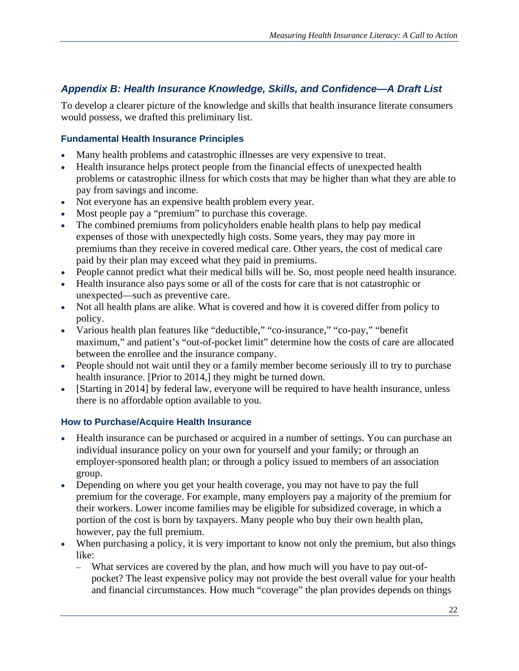#### *Appendix B: Health Insurance Knowledge, Skills, and Confidence—A Draft List*

To develop a clearer picture of the knowledge and skills that health insurance literate consumers would possess, we drafted this preliminary list.

#### **Fundamental Health Insurance Principles**

- Many health problems and catastrophic illnesses are very expensive to treat.
- Health insurance helps protect people from the financial effects of unexpected health problems or catastrophic illness for which costs that may be higher than what they are able to pay from savings and income.
- Not everyone has an expensive health problem every year.
- Most people pay a "premium" to purchase this coverage.
- The combined premiums from policyholders enable health plans to help pay medical expenses of those with unexpectedly high costs. Some years, they may pay more in premiums than they receive in covered medical care. Other years, the cost of medical care paid by their plan may exceed what they paid in premiums.
- People cannot predict what their medical bills will be. So, most people need health insurance.
- Health insurance also pays some or all of the costs for care that is not catastrophic or unexpected—such as preventive care.
- Not all health plans are alike. What is covered and how it is covered differ from policy to policy.
- Various health plan features like "deductible," "co-insurance," "co-pay," "benefit maximum," and patient's "out-of-pocket limit" determine how the costs of care are allocated between the enrollee and the insurance company.
- People should not wait until they or a family member become seriously ill to try to purchase health insurance. [Prior to 2014,] they might be turned down.
- [Starting in 2014] by federal law, everyone will be required to have health insurance, unless there is no affordable option available to you.

#### **How to Purchase/Acquire Health Insurance**

- Health insurance can be purchased or acquired in a number of settings. You can purchase an individual insurance policy on your own for yourself and your family; or through an employer-sponsored health plan; or through a policy issued to members of an association group.
- Depending on where you get your health coverage, you may not have to pay the full premium for the coverage. For example, many employers pay a majority of the premium for their workers. Lower income families may be eligible for subsidized coverage, in which a portion of the cost is born by taxpayers. Many people who buy their own health plan, however, pay the full premium.
- When purchasing a policy, it is very important to know not only the premium, but also things like:
	- What services are covered by the plan, and how much will you have to pay out-ofpocket? The least expensive policy may not provide the best overall value for your health and financial circumstances. How much "coverage" the plan provides depends on things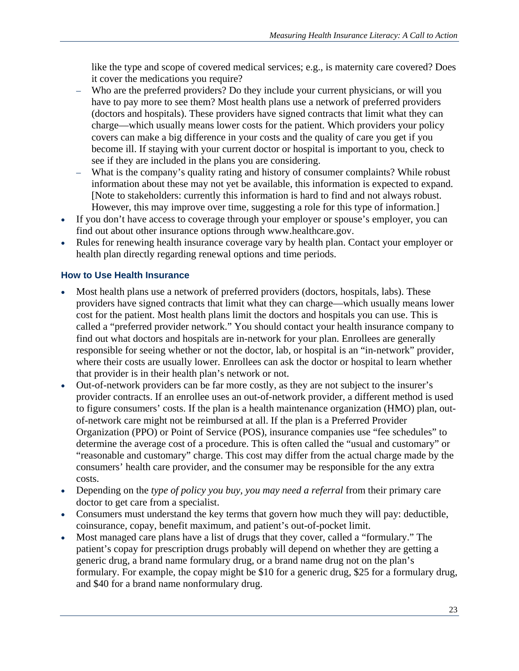like the type and scope of covered medical services; e.g., is maternity care covered? Does it cover the medications you require?

- Who are the preferred providers? Do they include your current physicians, or will you have to pay more to see them? Most health plans use a network of preferred providers (doctors and hospitals). These providers have signed contracts that limit what they can charge—which usually means lower costs for the patient. Which providers your policy covers can make a big difference in your costs and the quality of care you get if you become ill. If staying with your current doctor or hospital is important to you, check to see if they are included in the plans you are considering.
- What is the company's quality rating and history of consumer complaints? While robust information about these may not yet be available, this information is expected to expand. [Note to stakeholders: currently this information is hard to find and not always robust. However, this may improve over time, suggesting a role for this type of information.]
- If you don't have access to coverage through your employer or spouse's employer, you can find out about other insurance options through www.healthcare.gov.
- Rules for renewing health insurance coverage vary by health plan. Contact your employer or health plan directly regarding renewal options and time periods.

#### **How to Use Health Insurance**

- Most health plans use a network of preferred providers (doctors, hospitals, labs). These providers have signed contracts that limit what they can charge—which usually means lower cost for the patient. Most health plans limit the doctors and hospitals you can use. This is called a "preferred provider network." You should contact your health insurance company to find out what doctors and hospitals are in-network for your plan. Enrollees are generally responsible for seeing whether or not the doctor, lab, or hospital is an "in-network" provider, where their costs are usually lower. Enrollees can ask the doctor or hospital to learn whether that provider is in their health plan's network or not.
- Out-of-network providers can be far more costly, as they are not subject to the insurer's provider contracts. If an enrollee uses an out-of-network provider, a different method is used to figure consumers' costs. If the plan is a health maintenance organization (HMO) plan, outof-network care might not be reimbursed at all. If the plan is a Preferred Provider Organization (PPO) or Point of Service (POS), insurance companies use "fee schedules" to determine the average cost of a procedure. This is often called the "usual and customary" or "reasonable and customary" charge. This cost may differ from the actual charge made by the consumers' health care provider, and the consumer may be responsible for the any extra costs.
- Depending on the *type of policy you buy, you may need a referral* from their primary care doctor to get care from a specialist.
- Consumers must understand the key terms that govern how much they will pay: deductible, coinsurance, copay, benefit maximum, and patient's out-of-pocket limit.
- Most managed care plans have a list of drugs that they cover, called a "formulary." The patient's copay for prescription drugs probably will depend on whether they are getting a generic drug, a brand name formulary drug, or a brand name drug not on the plan's formulary. For example, the copay might be \$10 for a generic drug, \$25 for a formulary drug, and \$40 for a brand name nonformulary drug.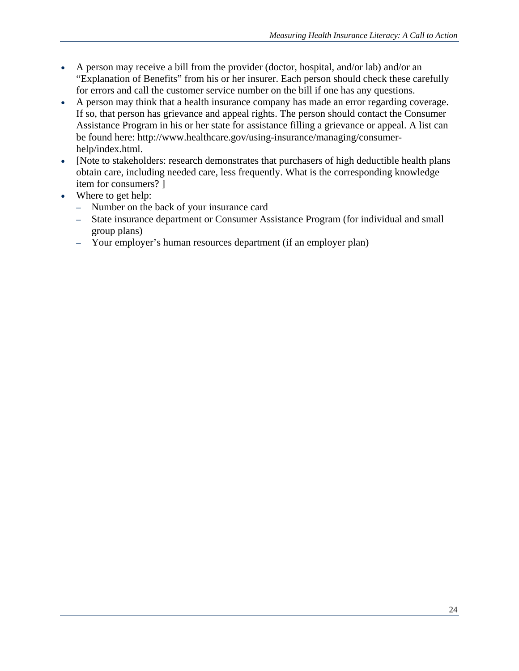- A person may receive a bill from the provider (doctor, hospital, and/or lab) and/or an "Explanation of Benefits" from his or her insurer. Each person should check these carefully for errors and call the customer service number on the bill if one has any questions.
- A person may think that a health insurance company has made an error regarding coverage. If so, that person has grievance and appeal rights. The person should contact the Consumer Assistance Program in his or her state for assistance filling a grievance or appeal. A list can be found here: http://www.healthcare.gov/using-insurance/managing/consumerhelp/index.html.
- [Note to stakeholders: research demonstrates that purchasers of high deductible health plans obtain care, including needed care, less frequently. What is the corresponding knowledge item for consumers? ]
- Where to get help:
	- Number on the back of your insurance card
	- State insurance department or Consumer Assistance Program (for individual and small group plans)
	- Your employer's human resources department (if an employer plan)